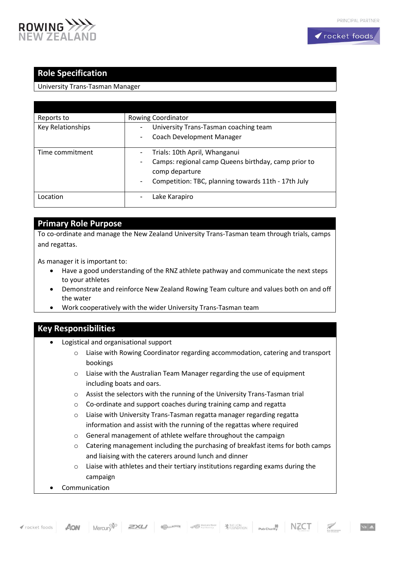

# **Role Specification**

#### University Trans-Tasman Manager

| Reports to        | Rowing Coordinator                                                              |
|-------------------|---------------------------------------------------------------------------------|
| Key Relationships | University Trans-Tasman coaching team<br>۰                                      |
|                   | Coach Development Manager<br>$\overline{\phantom{a}}$                           |
| Time commitment   | Trials: 10th April, Whanganui                                                   |
|                   | Camps: regional camp Queens birthday, camp prior to<br>۰                        |
|                   | comp departure                                                                  |
|                   | Competition: TBC, planning towards 11th - 17th July<br>$\overline{\phantom{a}}$ |
| Location          | Lake Karapiro<br>۰                                                              |
|                   |                                                                                 |

### **Primary Role Purpose**

To co-ordinate and manage the New Zealand University Trans-Tasman team through trials, camps and regattas.

As manager it is important to:

- Have a good understanding of the RNZ athlete pathway and communicate the next steps to your athletes
- Demonstrate and reinforce New Zealand Rowing Team culture and values both on and off the water
- Work cooperatively with the wider University Trans-Tasman team

## **Key Responsibilities**

- Logistical and organisational support
	- o Liaise with Rowing Coordinator regarding accommodation, catering and transport bookings
	- o Liaise with the Australian Team Manager regarding the use of equipment including boats and oars.
	- o Assist the selectors with the running of the University Trans-Tasman trial
	- o Co-ordinate and support coaches during training camp and regatta
	- o Liaise with University Trans-Tasman regatta manager regarding regatta information and assist with the running of the regattas where required
	- o General management of athlete welfare throughout the campaign
	- $\circ$  Catering management including the purchasing of breakfast items for both camps and liaising with the caterers around lunch and dinner
	- o Liaise with athletes and their tertiary institutions regarding exams during the campaign
- **Communication**



 $\frac{1}{\sqrt{2}}$